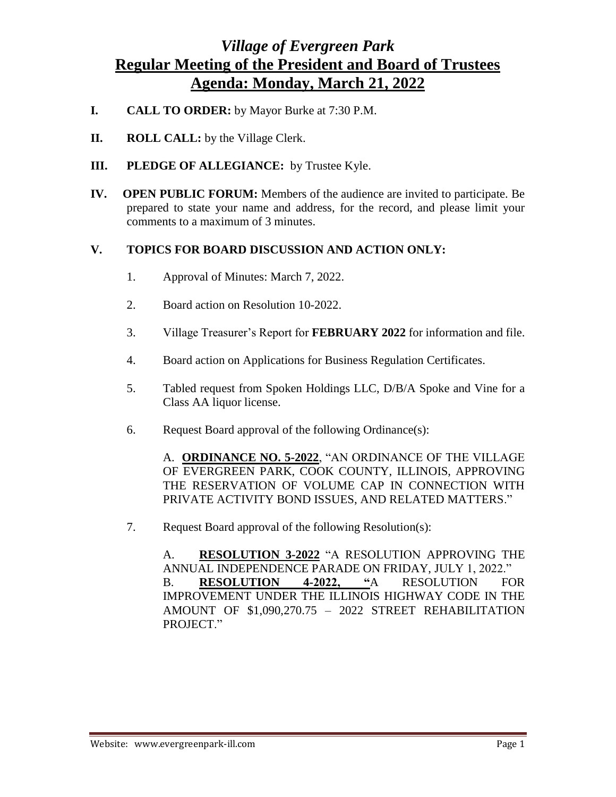## *Village of Evergreen Park* **Regular Meeting of the President and Board of Trustees Agenda: Monday, March 21, 2022**

- **I. CALL TO ORDER:** by Mayor Burke at 7:30 P.M.
- **II. ROLL CALL:** by the Village Clerk.
- **III. PLEDGE OF ALLEGIANCE:** by Trustee Kyle.
- **IV. OPEN PUBLIC FORUM:** Members of the audience are invited to participate. Be prepared to state your name and address, for the record, and please limit your comments to a maximum of 3 minutes.

## **V. TOPICS FOR BOARD DISCUSSION AND ACTION ONLY:**

- 1. Approval of Minutes: March 7, 2022.
- 2. Board action on Resolution 10-2022.
- 3. Village Treasurer's Report for **FEBRUARY 2022** for information and file.
- 4. Board action on Applications for Business Regulation Certificates.
- 5. Tabled request from Spoken Holdings LLC, D/B/A Spoke and Vine for a Class AA liquor license.
- 6. Request Board approval of the following Ordinance(s):

A. **ORDINANCE NO. 5-2022**, "AN ORDINANCE OF THE VILLAGE OF EVERGREEN PARK, COOK COUNTY, ILLINOIS, APPROVING THE RESERVATION OF VOLUME CAP IN CONNECTION WITH PRIVATE ACTIVITY BOND ISSUES, AND RELATED MATTERS."

7. Request Board approval of the following Resolution(s):

A. **RESOLUTION 3-2022** "A RESOLUTION APPROVING THE ANNUAL INDEPENDENCE PARADE ON FRIDAY, JULY 1, 2022." B. **RESOLUTION 4-2022, "**A RESOLUTION FOR IMPROVEMENT UNDER THE ILLINOIS HIGHWAY CODE IN THE AMOUNT OF \$1,090,270.75 – 2022 STREET REHABILITATION PROJECT."